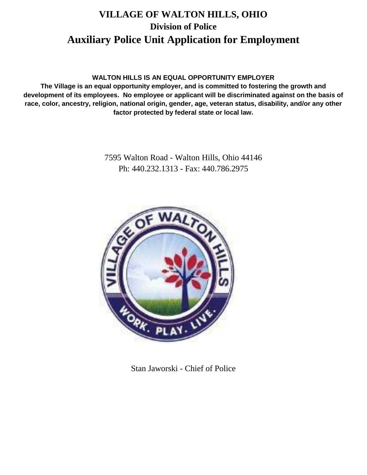# **VILLAGE OF WALTON HILLS, OHIO Division of Police Auxiliary Police Unit Application for Employment**

# **WALTON HILLS IS AN EQUAL OPPORTUNITY EMPLOYER**

**The Village is an equal opportunity employer, and is committed to fostering the growth and development of its employees. No employee or applicant will be discriminated against on the basis of race, color, ancestry, religion, national origin, gender, age, veteran status, disability, and/or any other factor protected by federal state or local law.**

> 7595 Walton Road - Walton Hills, Ohio 44146 Ph: 440.232.1313 - Fax: 440.786.2975



Stan Jaworski - Chief of Police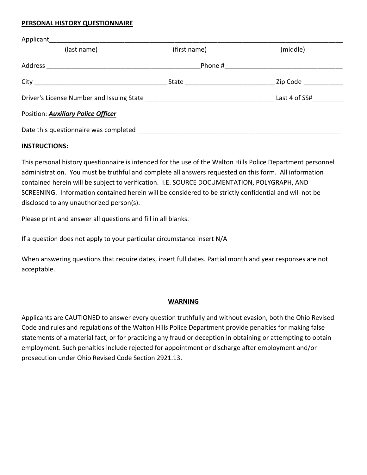#### **PERSONAL HISTORY QUESTIONNAIRE**

| Applicant the contract of the contract of the contract of the contract of the contract of the contract of the contract of the contract of the contract of the contract of the contract of the contract of the contract of the |                                 |                                                                                                                |
|-------------------------------------------------------------------------------------------------------------------------------------------------------------------------------------------------------------------------------|---------------------------------|----------------------------------------------------------------------------------------------------------------|
| (last name)                                                                                                                                                                                                                   | (first name)                    | (middle)                                                                                                       |
| Address                                                                                                                                                                                                                       |                                 | Phone # 2008 2009 2012 2022 2023 2024 2022 2023 2024 2022 2023 2024 2022 2023 2024 2022 2023 2024 20           |
|                                                                                                                                                                                                                               | State <u>__________________</u> | Zip Code and the state of the state of the state of the state of the state of the state of the state of the st |
|                                                                                                                                                                                                                               |                                 | Last 4 of SS#                                                                                                  |
| Position: <b>Auxiliary Police Officer</b>                                                                                                                                                                                     |                                 |                                                                                                                |
| Date this questionnaire was completed ____                                                                                                                                                                                    |                                 |                                                                                                                |

#### **INSTRUCTIONS:**

This personal history questionnaire is intended for the use of the Walton Hills Police Department personnel administration. You must be truthful and complete all answers requested on this form. All information contained herein will be subject to verification. I.E. SOURCE DOCUMENTATION, POLYGRAPH, AND SCREENING. Information contained herein will be considered to be strictly confidential and will not be disclosed to any unauthorized person(s).

Please print and answer all questions and fill in all blanks.

If a question does not apply to your particular circumstance insert N/A

When answering questions that require dates, insert full dates. Partial month and year responses are not acceptable.

### **WARNING**

Applicants are CAUTIONED to answer every question truthfully and without evasion, both the Ohio Revised Code and rules and regulations of the Walton Hills Police Department provide penalties for making false statements of a material fact, or for practicing any fraud or deception in obtaining or attempting to obtain employment. Such penalties include rejected for appointment or discharge after employment and/or prosecution under Ohio Revised Code Section 2921.13.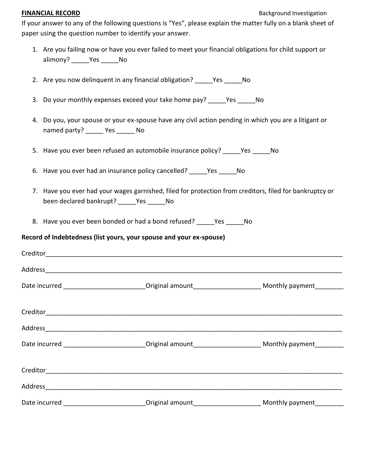#### **FINANCIAL RECORD** Background Investigation

If your answer to any of the following questions is "Yes", please explain the matter fully on a blank sheet of paper using the question number to identify your answer.

- 1. Are you failing now or have you ever failed to meet your financial obligations for child support or alimony? \_\_\_\_\_Yes \_\_\_\_\_No
- 2. Are you now delinquent in any financial obligation? \_\_\_\_\_Yes \_\_\_\_\_No
- 3. Do your monthly expenses exceed your take home pay? Yes No
- 4. Do you, your spouse or your ex-spouse have any civil action pending in which you are a litigant or named party? \_\_\_\_\_ Yes \_\_\_\_\_ No
- 5. Have you ever been refused an automobile insurance policy? \_\_\_\_\_Yes \_\_\_\_\_No
- 6. Have you ever had an insurance policy cancelled? \_\_\_\_\_Yes \_\_\_\_\_No
- 7. Have you ever had your wages garnished, filed for protection from creditors, filed for bankruptcy or been declared bankrupt? Yes No
- 8. Have you ever been bonded or had a bond refused? \_\_\_\_\_Yes \_\_\_\_\_No

# **Record of Indebtedness (list yours, your spouse and your ex-spouse)**

| Date incurred _______________________________Original amount_____________________________Monthly payment_________   |  |
|---------------------------------------------------------------------------------------------------------------------|--|
|                                                                                                                     |  |
|                                                                                                                     |  |
|                                                                                                                     |  |
| Date incurred ________________________________Original amount______________________________Monthly payment_________ |  |
|                                                                                                                     |  |
|                                                                                                                     |  |
|                                                                                                                     |  |
|                                                                                                                     |  |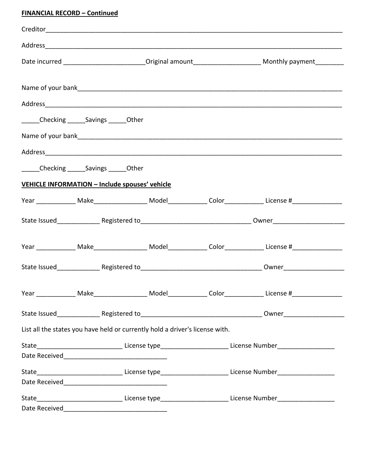# **FINANCIAL RECORD – Continued**

|                                                       |                                                                              | Date incurred __________________________Original amount__________________________ Monthly payment___________                                                                                                                   |
|-------------------------------------------------------|------------------------------------------------------------------------------|--------------------------------------------------------------------------------------------------------------------------------------------------------------------------------------------------------------------------------|
|                                                       |                                                                              |                                                                                                                                                                                                                                |
|                                                       |                                                                              |                                                                                                                                                                                                                                |
|                                                       |                                                                              |                                                                                                                                                                                                                                |
| ______Checking ______Savings ______Other              |                                                                              |                                                                                                                                                                                                                                |
|                                                       |                                                                              |                                                                                                                                                                                                                                |
|                                                       |                                                                              | Address and the contract of the contract of the contract of the contract of the contract of the contract of the contract of the contract of the contract of the contract of the contract of the contract of the contract of th |
| ______Checking ______Savings ______Other              |                                                                              |                                                                                                                                                                                                                                |
| <b>VEHICLE INFORMATION - Include spouses' vehicle</b> |                                                                              |                                                                                                                                                                                                                                |
|                                                       |                                                                              | Year _______________ Make______________________ Model______________ Color_______________ License #_____________                                                                                                                |
|                                                       |                                                                              |                                                                                                                                                                                                                                |
|                                                       |                                                                              |                                                                                                                                                                                                                                |
|                                                       |                                                                              | Year _______________ Make_____________________ Model______________ Color______________ License #______________                                                                                                                 |
|                                                       |                                                                              |                                                                                                                                                                                                                                |
|                                                       |                                                                              |                                                                                                                                                                                                                                |
|                                                       |                                                                              | Year ________________ Make________________________ Model________________ Color________________ License #____________                                                                                                           |
|                                                       |                                                                              |                                                                                                                                                                                                                                |
|                                                       | List all the states you have held or currently hold a driver's license with. |                                                                                                                                                                                                                                |
|                                                       |                                                                              | State_________________________________License type_________________________License Number_____________________                                                                                                                 |
|                                                       |                                                                              |                                                                                                                                                                                                                                |
|                                                       |                                                                              | State_________________________________License type_________________________License Number_____________________                                                                                                                 |
|                                                       |                                                                              |                                                                                                                                                                                                                                |
|                                                       |                                                                              | State_________________________________License type_________________________License Number_____________________                                                                                                                 |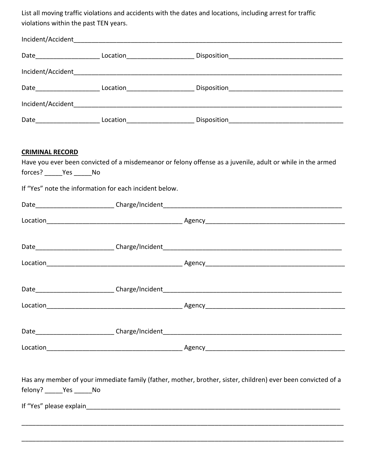List all moving traffic violations and accidents with the dates and locations, including arrest for traffic violations within the past TEN years.

| <b>CRIMINAL RECORD</b><br>forces? ______Yes ______No | If "Yes" note the information for each incident below. | Have you ever been convicted of a misdemeanor or felony offense as a juvenile, adult or while in the armed   |
|------------------------------------------------------|--------------------------------------------------------|--------------------------------------------------------------------------------------------------------------|
|                                                      |                                                        |                                                                                                              |
|                                                      |                                                        |                                                                                                              |
|                                                      |                                                        |                                                                                                              |
|                                                      |                                                        |                                                                                                              |
|                                                      |                                                        |                                                                                                              |
| Location                                             |                                                        |                                                                                                              |
|                                                      |                                                        |                                                                                                              |
|                                                      |                                                        |                                                                                                              |
| felony? ______Yes ______No                           |                                                        | Has any member of your immediate family (father, mother, brother, sister, children) ever been convicted of a |
|                                                      |                                                        |                                                                                                              |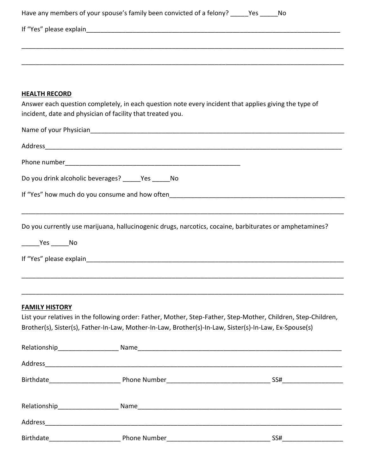|                       | Have any members of your spouse's family been convicted of a felony? ______Yes ______ No                                                                            |                                                                                                |
|-----------------------|---------------------------------------------------------------------------------------------------------------------------------------------------------------------|------------------------------------------------------------------------------------------------|
|                       |                                                                                                                                                                     |                                                                                                |
|                       |                                                                                                                                                                     |                                                                                                |
|                       |                                                                                                                                                                     |                                                                                                |
|                       |                                                                                                                                                                     |                                                                                                |
| <b>HEALTH RECORD</b>  |                                                                                                                                                                     |                                                                                                |
|                       | Answer each question completely, in each question note every incident that applies giving the type of<br>incident, date and physician of facility that treated you. |                                                                                                |
|                       | Name of your Physician example and the contract of your Physician                                                                                                   |                                                                                                |
|                       |                                                                                                                                                                     |                                                                                                |
|                       |                                                                                                                                                                     |                                                                                                |
|                       | Do you drink alcoholic beverages? ______Yes ______No                                                                                                                |                                                                                                |
|                       |                                                                                                                                                                     |                                                                                                |
|                       |                                                                                                                                                                     |                                                                                                |
|                       | Do you currently use marijuana, hallucinogenic drugs, narcotics, cocaine, barbiturates or amphetamines?                                                             |                                                                                                |
|                       |                                                                                                                                                                     |                                                                                                |
|                       |                                                                                                                                                                     |                                                                                                |
|                       |                                                                                                                                                                     |                                                                                                |
|                       |                                                                                                                                                                     |                                                                                                |
| <b>FAMILY HISTORY</b> |                                                                                                                                                                     |                                                                                                |
|                       | List your relatives in the following order: Father, Mother, Step-Father, Step-Mother, Children, Step-Children,                                                      |                                                                                                |
|                       | Brother(s), Sister(s), Father-In-Law, Mother-In-Law, Brother(s)-In-Law, Sister(s)-In-Law, Ex-Spouse(s)                                                              |                                                                                                |
|                       |                                                                                                                                                                     |                                                                                                |
|                       |                                                                                                                                                                     |                                                                                                |
|                       |                                                                                                                                                                     |                                                                                                |
|                       |                                                                                                                                                                     |                                                                                                |
|                       |                                                                                                                                                                     |                                                                                                |
|                       |                                                                                                                                                                     | $SS# \begin{tabular}{@{}c@{}} \quad \quad & \quad \quad & \quad \quad \\ \hline \end{tabular}$ |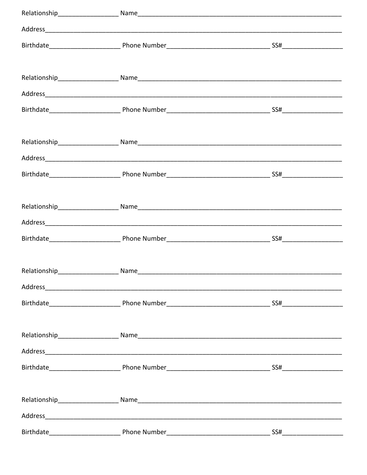| Address and the contract of the contract of the contract of the contract of the contract of the contract of the contract of the contract of the contract of the contract of the contract of the contract of the contract of th |  |
|--------------------------------------------------------------------------------------------------------------------------------------------------------------------------------------------------------------------------------|--|
|                                                                                                                                                                                                                                |  |
|                                                                                                                                                                                                                                |  |
|                                                                                                                                                                                                                                |  |
|                                                                                                                                                                                                                                |  |
|                                                                                                                                                                                                                                |  |
|                                                                                                                                                                                                                                |  |
|                                                                                                                                                                                                                                |  |
|                                                                                                                                                                                                                                |  |
|                                                                                                                                                                                                                                |  |
|                                                                                                                                                                                                                                |  |
|                                                                                                                                                                                                                                |  |
|                                                                                                                                                                                                                                |  |
|                                                                                                                                                                                                                                |  |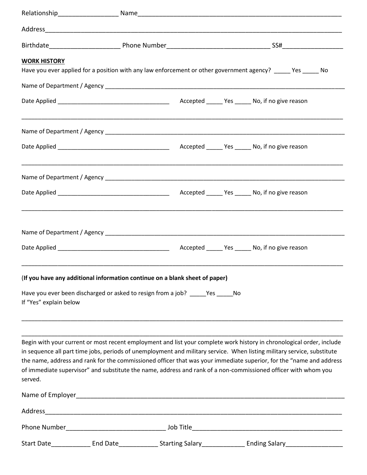| <b>WORK HISTORY</b>    |                                                                                                                                                                                                                                                                                                                                                                                                                                                                                           |  |
|------------------------|-------------------------------------------------------------------------------------------------------------------------------------------------------------------------------------------------------------------------------------------------------------------------------------------------------------------------------------------------------------------------------------------------------------------------------------------------------------------------------------------|--|
|                        | Have you ever applied for a position with any law enforcement or other government agency? _____ Yes _____ No                                                                                                                                                                                                                                                                                                                                                                              |  |
|                        |                                                                                                                                                                                                                                                                                                                                                                                                                                                                                           |  |
|                        |                                                                                                                                                                                                                                                                                                                                                                                                                                                                                           |  |
|                        | ,我们也不能在这里,我们也不能在这里的时候,我们也不能在这里,我们也不能不能在这里,我们也不能不能不能会不能不能。""我们,我们也不能不能会不能不能会不能不能会                                                                                                                                                                                                                                                                                                                                                                                                          |  |
|                        |                                                                                                                                                                                                                                                                                                                                                                                                                                                                                           |  |
|                        |                                                                                                                                                                                                                                                                                                                                                                                                                                                                                           |  |
|                        |                                                                                                                                                                                                                                                                                                                                                                                                                                                                                           |  |
|                        |                                                                                                                                                                                                                                                                                                                                                                                                                                                                                           |  |
|                        |                                                                                                                                                                                                                                                                                                                                                                                                                                                                                           |  |
|                        | (If you have any additional information continue on a blank sheet of paper)                                                                                                                                                                                                                                                                                                                                                                                                               |  |
| If "Yes" explain below | Have you ever been discharged or asked to resign from a job? Yes No                                                                                                                                                                                                                                                                                                                                                                                                                       |  |
| served.                | Begin with your current or most recent employment and list your complete work history in chronological order, include<br>in sequence all part time jobs, periods of unemployment and military service. When listing military service, substitute<br>the name, address and rank for the commissioned officer that was your immediate superior, for the "name and address<br>of immediate supervisor" and substitute the name, address and rank of a non-commissioned officer with whom you |  |
|                        |                                                                                                                                                                                                                                                                                                                                                                                                                                                                                           |  |
|                        |                                                                                                                                                                                                                                                                                                                                                                                                                                                                                           |  |
|                        |                                                                                                                                                                                                                                                                                                                                                                                                                                                                                           |  |
|                        |                                                                                                                                                                                                                                                                                                                                                                                                                                                                                           |  |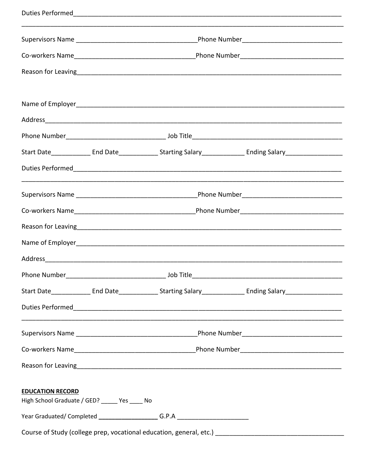|                                                                                                      | Job Title |  |
|------------------------------------------------------------------------------------------------------|-----------|--|
|                                                                                                      |           |  |
|                                                                                                      |           |  |
|                                                                                                      |           |  |
|                                                                                                      |           |  |
|                                                                                                      |           |  |
| <b>EDUCATION RECORD</b><br>High School Graduate / GED? ______ Yes _____ No                           |           |  |
| Year Graduated/ Completed __________________________G.P.A ______________________                     |           |  |
| Course of Study (college prep, vocational education, general, etc.) ________________________________ |           |  |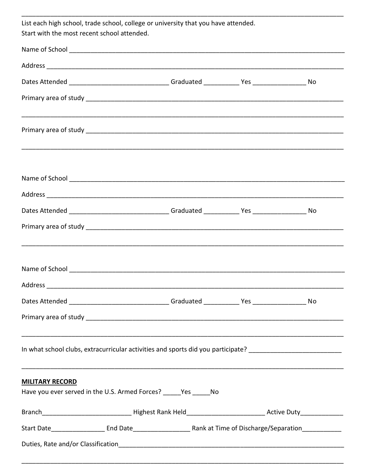| List each high school, trade school, college or university that you have attended.<br>Start with the most recent school attended. |  |                                                                                                                |  |  |
|-----------------------------------------------------------------------------------------------------------------------------------|--|----------------------------------------------------------------------------------------------------------------|--|--|
|                                                                                                                                   |  |                                                                                                                |  |  |
|                                                                                                                                   |  |                                                                                                                |  |  |
|                                                                                                                                   |  | Dates Attended _________________________________Graduated ____________Yes ______________________No             |  |  |
|                                                                                                                                   |  |                                                                                                                |  |  |
|                                                                                                                                   |  |                                                                                                                |  |  |
|                                                                                                                                   |  |                                                                                                                |  |  |
|                                                                                                                                   |  |                                                                                                                |  |  |
|                                                                                                                                   |  | Dates Attended _______________________________Graduated ____________Yes ____________________No                 |  |  |
|                                                                                                                                   |  |                                                                                                                |  |  |
|                                                                                                                                   |  |                                                                                                                |  |  |
| Address                                                                                                                           |  |                                                                                                                |  |  |
|                                                                                                                                   |  | Dates Attended _______________________________Graduated ____________Yes ______________________No               |  |  |
|                                                                                                                                   |  |                                                                                                                |  |  |
|                                                                                                                                   |  | In what school clubs, extracurricular activities and sports did you participate? _____________________________ |  |  |
| <b>MILITARY RECORD</b>                                                                                                            |  |                                                                                                                |  |  |
| Have you ever served in the U.S. Armed Forces? _____ Yes _____ No                                                                 |  |                                                                                                                |  |  |
|                                                                                                                                   |  |                                                                                                                |  |  |
|                                                                                                                                   |  |                                                                                                                |  |  |
|                                                                                                                                   |  |                                                                                                                |  |  |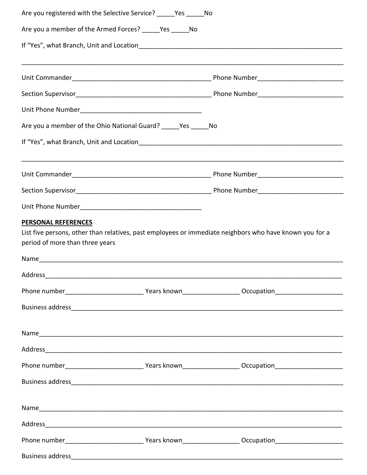| Are you registered with the Selective Service? Yes No         |                                                                                                                |
|---------------------------------------------------------------|----------------------------------------------------------------------------------------------------------------|
| Are you a member of the Armed Forces? _____ Yes _____ No      |                                                                                                                |
|                                                               |                                                                                                                |
|                                                               |                                                                                                                |
|                                                               |                                                                                                                |
|                                                               |                                                                                                                |
|                                                               |                                                                                                                |
| Are you a member of the Ohio National Guard? _____Yes _____No |                                                                                                                |
|                                                               |                                                                                                                |
|                                                               |                                                                                                                |
|                                                               |                                                                                                                |
|                                                               |                                                                                                                |
| PERSONAL REFERENCES                                           | List five persons, other than relatives, past employees or immediate neighbors who have known you for a        |
| period of more than three years                               |                                                                                                                |
|                                                               |                                                                                                                |
| Address                                                       |                                                                                                                |
|                                                               |                                                                                                                |
|                                                               |                                                                                                                |
|                                                               |                                                                                                                |
|                                                               |                                                                                                                |
|                                                               | Phone number__________________________________Years known_______________________ Occupation___________________ |
|                                                               |                                                                                                                |
|                                                               |                                                                                                                |
|                                                               |                                                                                                                |
|                                                               |                                                                                                                |
|                                                               |                                                                                                                |
|                                                               |                                                                                                                |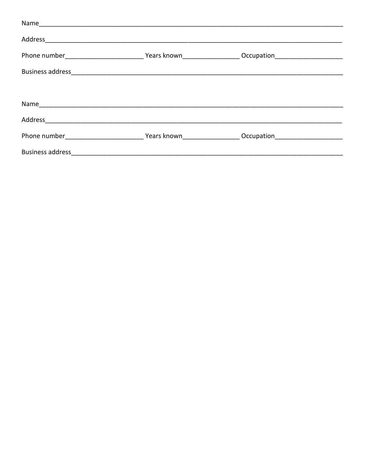| Business address and the contract of the contract of the contract of the contract of the contract of the contract of the contract of the contract of the contract of the contract of the contract of the contract of the contr |  |
|--------------------------------------------------------------------------------------------------------------------------------------------------------------------------------------------------------------------------------|--|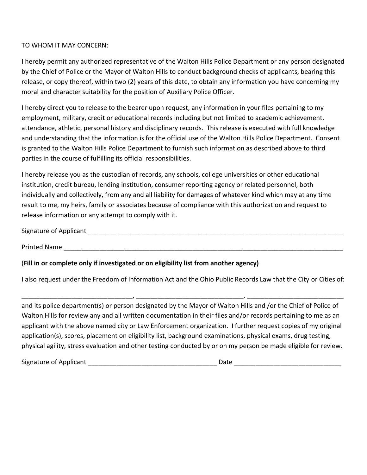## TO WHOM IT MAY CONCERN:

I hereby permit any authorized representative of the Walton Hills Police Department or any person designated by the Chief of Police or the Mayor of Walton Hills to conduct background checks of applicants, bearing this release, or copy thereof, within two (2) years of this date, to obtain any information you have concerning my moral and character suitability for the position of Auxiliary Police Officer.

I hereby direct you to release to the bearer upon request, any information in your files pertaining to my employment, military, credit or educational records including but not limited to academic achievement, attendance, athletic, personal history and disciplinary records. This release is executed with full knowledge and understanding that the information is for the official use of the Walton Hills Police Department. Consent is granted to the Walton Hills Police Department to furnish such information as described above to third parties in the course of fulfilling its official responsibilities.

I hereby release you as the custodian of records, any schools, college universities or other educational institution, credit bureau, lending institution, consumer reporting agency or related personnel, both individually and collectively, from any and all liability for damages of whatever kind which may at any time result to me, my heirs, family or associates because of compliance with this authorization and request to release information or any attempt to comply with it.

Signature of Applicant **Exercise 20** 

Printed Name \_\_\_\_\_\_\_\_\_\_\_\_\_\_\_\_\_\_\_\_\_\_\_\_\_\_\_\_\_\_\_\_\_\_\_\_\_\_\_\_\_\_\_\_\_\_\_\_\_\_\_\_\_\_\_\_\_\_\_\_\_\_\_\_\_\_\_\_\_\_\_\_\_\_\_\_\_\_

# (**Fill in or complete only if investigated or on eligibility list from another agency)**

I also request under the Freedom of Information Act and the Ohio Public Records Law that the City or Cities of:

\_\_\_\_\_\_\_\_\_\_\_\_\_\_\_\_\_\_\_\_\_\_\_\_\_\_\_\_\_\_\_, \_\_\_\_\_\_\_\_\_\_\_\_\_\_\_\_\_\_\_\_\_\_\_\_\_\_\_\_\_\_, \_\_\_\_\_\_\_\_\_\_\_\_\_\_\_\_\_\_\_\_\_\_\_\_\_\_\_

and its police department(s) or person designated by the Mayor of Walton Hills and /or the Chief of Police of Walton Hills for review any and all written documentation in their files and/or records pertaining to me as an applicant with the above named city or Law Enforcement organization. I further request copies of my original application(s), scores, placement on eligibility list, background examinations, physical exams, drug testing, physical agility, stress evaluation and other testing conducted by or on my person be made eligible for review.

Signature of Applicant \_\_\_\_\_\_\_\_\_\_\_\_\_\_\_\_\_\_\_\_\_\_\_\_\_\_\_\_\_\_\_\_\_\_\_\_ Date \_\_\_\_\_\_\_\_\_\_\_\_\_\_\_\_\_\_\_\_\_\_\_\_\_\_\_\_\_\_